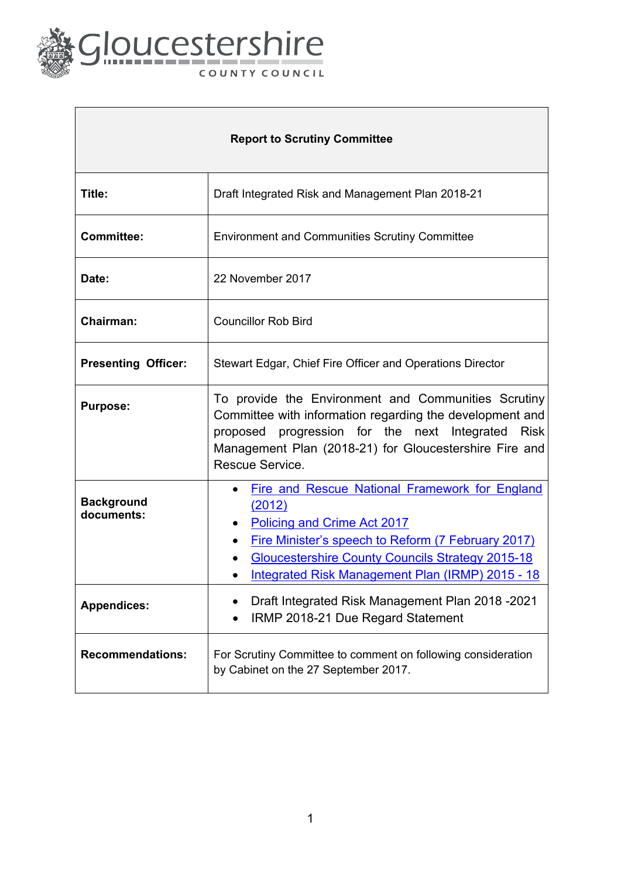

 $\Gamma$ 

| <b>Report to Scrutiny Committee</b> |                                                                                                                                                                                                                                                                                        |
|-------------------------------------|----------------------------------------------------------------------------------------------------------------------------------------------------------------------------------------------------------------------------------------------------------------------------------------|
| Title:                              | Draft Integrated Risk and Management Plan 2018-21                                                                                                                                                                                                                                      |
| <b>Committee:</b>                   | <b>Environment and Communities Scrutiny Committee</b>                                                                                                                                                                                                                                  |
| Date:                               | 22 November 2017                                                                                                                                                                                                                                                                       |
| <b>Chairman:</b>                    | <b>Councillor Rob Bird</b>                                                                                                                                                                                                                                                             |
| <b>Presenting Officer:</b>          | Stewart Edgar, Chief Fire Officer and Operations Director                                                                                                                                                                                                                              |
| <b>Purpose:</b>                     | To provide the Environment and Communities Scrutiny<br>Committee with information regarding the development and<br>proposed progression for the next Integrated Risk<br>Management Plan (2018-21) for Gloucestershire Fire and<br>Rescue Service.                                      |
| <b>Background</b><br>documents:     | Fire and Rescue National Framework for England<br>(2012)<br>Policing and Crime Act 2017<br>$\bullet$<br>Fire Minister's speech to Reform (7 February 2017)<br>$\bullet$<br><b>Gloucestershire County Councils Strategy 2015-18</b><br>Integrated Risk Management Plan (IRMP) 2015 - 18 |
| <b>Appendices:</b>                  | Draft Integrated Risk Management Plan 2018 - 2021<br>IRMP 2018-21 Due Regard Statement                                                                                                                                                                                                 |
| <b>Recommendations:</b>             | For Scrutiny Committee to comment on following consideration<br>by Cabinet on the 27 September 2017.                                                                                                                                                                                   |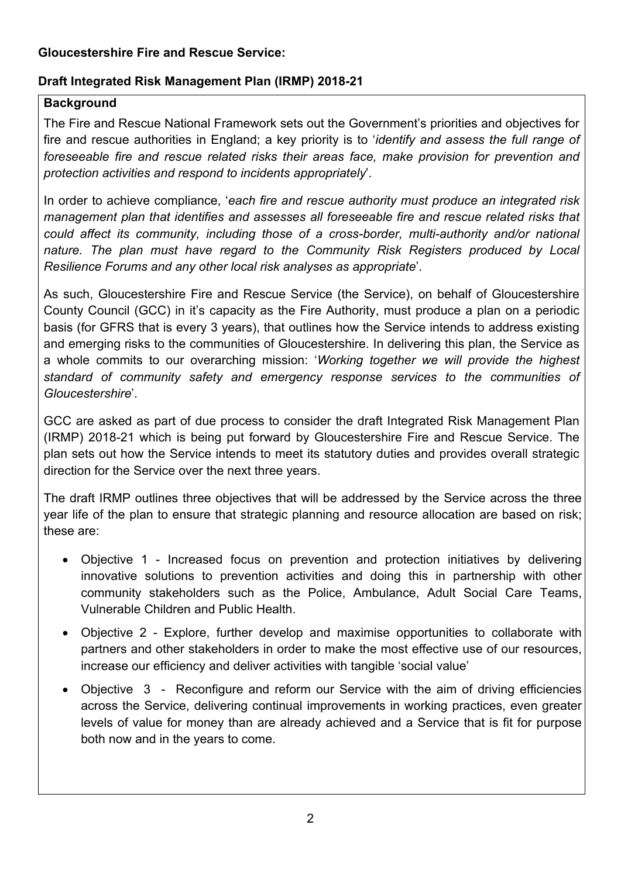#### **Gloucestershire Fire and Rescue Service:**

## **Draft Integrated Risk Management Plan (IRMP) 2018-21**

### **Background**

The Fire and Rescue National Framework sets out the Government's priorities and objectives for fire and rescue authorities in England; a key priority is to '*identify and assess the full range of foreseeable fire and rescue related risks their areas face, make provision for prevention and protection activities and respond to incidents appropriately*'.

In order to achieve compliance, '*each fire and rescue authority must produce an integrated risk management plan that identifies and assesses all foreseeable fire and rescue related risks that could affect its community, including those of a cross-border, multi-authority and/or national nature. The plan must have regard to the Community Risk Registers produced by Local Resilience Forums and any other local risk analyses as appropriate*'.

As such, Gloucestershire Fire and Rescue Service (the Service), on behalf of Gloucestershire County Council (GCC) in it's capacity as the Fire Authority, must produce a plan on a periodic basis (for GFRS that is every 3 years), that outlines how the Service intends to address existing and emerging risks to the communities of Gloucestershire. In delivering this plan, the Service as a whole commits to our overarching mission: '*Working together we will provide the highest standard of community safety and emergency response services to the communities of Gloucestershire*'.

GCC are asked as part of due process to consider the draft Integrated Risk Management Plan (IRMP) 2018-21 which is being put forward by Gloucestershire Fire and Rescue Service. The plan sets out how the Service intends to meet its statutory duties and provides overall strategic direction for the Service over the next three years.

The draft IRMP outlines three objectives that will be addressed by the Service across the three year life of the plan to ensure that strategic planning and resource allocation are based on risk; these are:

- Objective 1 Increased focus on prevention and protection initiatives by delivering innovative solutions to prevention activities and doing this in partnership with other community stakeholders such as the Police, Ambulance, Adult Social Care Teams, Vulnerable Children and Public Health.
- Objective 2 Explore, further develop and maximise opportunities to collaborate with partners and other stakeholders in order to make the most effective use of our resources, increase our efficiency and deliver activities with tangible 'social value'
- Objective 3 Reconfigure and reform our Service with the aim of driving efficiencies across the Service, delivering continual improvements in working practices, even greater levels of value for money than are already achieved and a Service that is fit for purpose both now and in the years to come.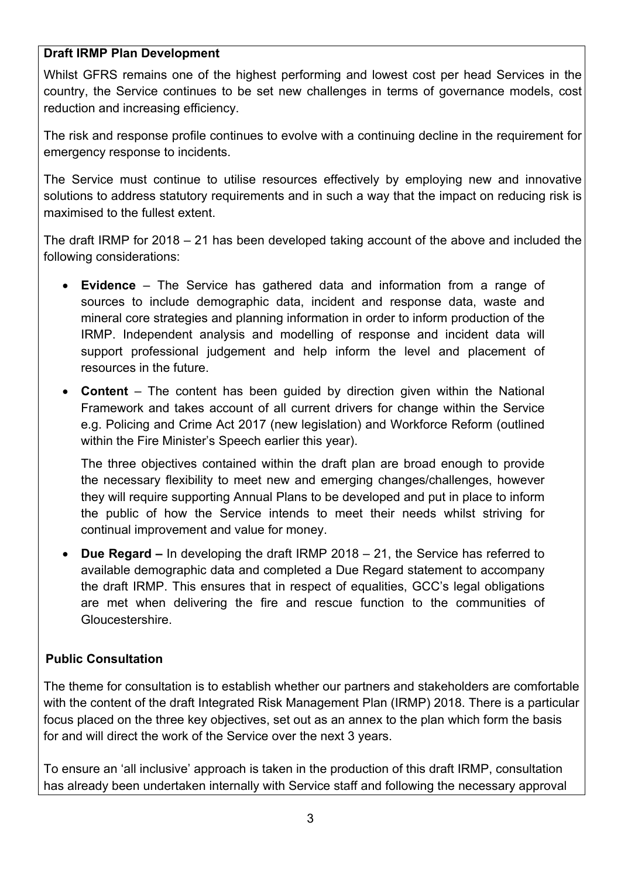### **Draft IRMP Plan Development**

Whilst GFRS remains one of the highest performing and lowest cost per head Services in the country, the Service continues to be set new challenges in terms of governance models, cost reduction and increasing efficiency.

The risk and response profile continues to evolve with a continuing decline in the requirement for emergency response to incidents.

The Service must continue to utilise resources effectively by employing new and innovative solutions to address statutory requirements and in such a way that the impact on reducing risk is maximised to the fullest extent.

The draft IRMP for 2018 – 21 has been developed taking account of the above and included the following considerations:

- **Evidence** The Service has gathered data and information from a range of sources to include demographic data, incident and response data, waste and mineral core strategies and planning information in order to inform production of the IRMP. Independent analysis and modelling of response and incident data will support professional judgement and help inform the level and placement of resources in the future.
- **Content** The content has been guided by direction given within the National Framework and takes account of all current drivers for change within the Service e.g. Policing and Crime Act 2017 (new legislation) and Workforce Reform (outlined within the Fire Minister's Speech earlier this year).

The three objectives contained within the draft plan are broad enough to provide the necessary flexibility to meet new and emerging changes/challenges, however they will require supporting Annual Plans to be developed and put in place to inform the public of how the Service intends to meet their needs whilst striving for continual improvement and value for money.

 **Due Regard –** In developing the draft IRMP 2018 – 21, the Service has referred to available demographic data and completed a Due Regard statement to accompany the draft IRMP. This ensures that in respect of equalities, GCC's legal obligations are met when delivering the fire and rescue function to the communities of Gloucestershire.

### **Public Consultation**

The theme for consultation is to establish whether our partners and stakeholders are comfortable with the content of the draft Integrated Risk Management Plan (IRMP) 2018. There is a particular focus placed on the three key objectives, set out as an annex to the plan which form the basis for and will direct the work of the Service over the next 3 years.

To ensure an 'all inclusive' approach is taken in the production of this draft IRMP, consultation has already been undertaken internally with Service staff and following the necessary approval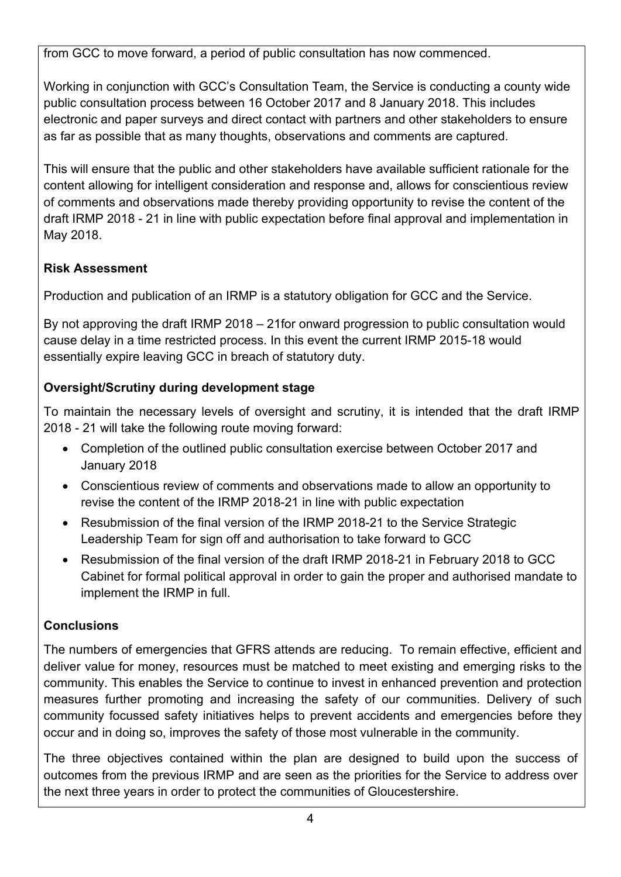from GCC to move forward, a period of public consultation has now commenced.

Working in conjunction with GCC's Consultation Team, the Service is conducting a county wide public consultation process between 16 October 2017 and 8 January 2018. This includes electronic and paper surveys and direct contact with partners and other stakeholders to ensure as far as possible that as many thoughts, observations and comments are captured.

This will ensure that the public and other stakeholders have available sufficient rationale for the content allowing for intelligent consideration and response and, allows for conscientious review of comments and observations made thereby providing opportunity to revise the content of the draft IRMP 2018 - 21 in line with public expectation before final approval and implementation in May 2018.

# **Risk Assessment**

Production and publication of an IRMP is a statutory obligation for GCC and the Service.

By not approving the draft IRMP 2018 – 21for onward progression to public consultation would cause delay in a time restricted process. In this event the current IRMP 2015-18 would essentially expire leaving GCC in breach of statutory duty.

# **Oversight/Scrutiny during development stage**

To maintain the necessary levels of oversight and scrutiny, it is intended that the draft IRMP 2018 - 21 will take the following route moving forward:

- Completion of the outlined public consultation exercise between October 2017 and January 2018
- Conscientious review of comments and observations made to allow an opportunity to revise the content of the IRMP 2018-21 in line with public expectation
- Resubmission of the final version of the IRMP 2018-21 to the Service Strategic Leadership Team for sign off and authorisation to take forward to GCC
- Resubmission of the final version of the draft IRMP 2018-21 in February 2018 to GCC Cabinet for formal political approval in order to gain the proper and authorised mandate to implement the IRMP in full.

## **Conclusions**

The numbers of emergencies that GFRS attends are reducing. To remain effective, efficient and deliver value for money, resources must be matched to meet existing and emerging risks to the community. This enables the Service to continue to invest in enhanced prevention and protection measures further promoting and increasing the safety of our communities. Delivery of such community focussed safety initiatives helps to prevent accidents and emergencies before they occur and in doing so, improves the safety of those most vulnerable in the community.

The three objectives contained within the plan are designed to build upon the success of outcomes from the previous IRMP and are seen as the priorities for the Service to address over the next three years in order to protect the communities of Gloucestershire.